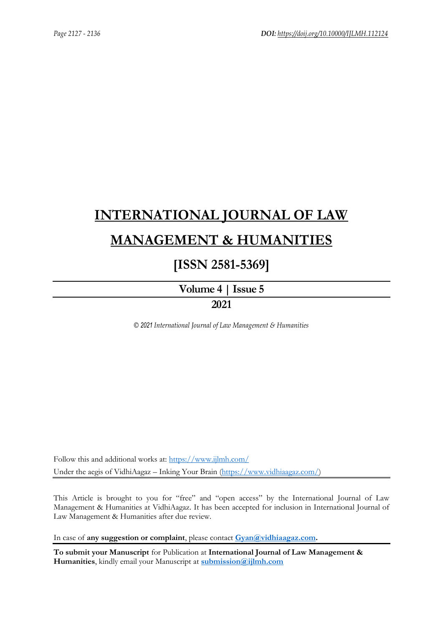# **[INTERNATIONAL JOURNAL OF LAW](https://www.ijlmh.com/)  [MANAGEMENT & HUMANITIES](https://www.ijlmh.com/)**

# **[ISSN 2581-5369]**

**[Volume 4 |](https://www.ijlmh.com/publications/volume-iv-issue-v/) Issue 5 2021**

*© 2021 International Journal of Law Management & Humanities*

Follow this and additional works at:<https://www.ijlmh.com/> Under the aegis of VidhiAagaz – Inking Your Brain [\(https://www.vidhiaagaz.com/\)](https://www.vidhiaagaz.com/)

This Article is brought to you for "free" and "open access" by the International Journal of Law Management & Humanities at VidhiAagaz. It has been accepted for inclusion in International Journal of Law Management & Humanities after due review.

In case of **any suggestion or complaint**, please contact **[Gyan@vidhiaagaz.com.](mailto:Gyan@vidhiaagaz.com)** 

**To submit your Manuscript** for Publication at **International Journal of Law Management & Humanities**, kindly email your Manuscript at **[submission@ijlmh.com](mailto:submission@ijlmh.com)**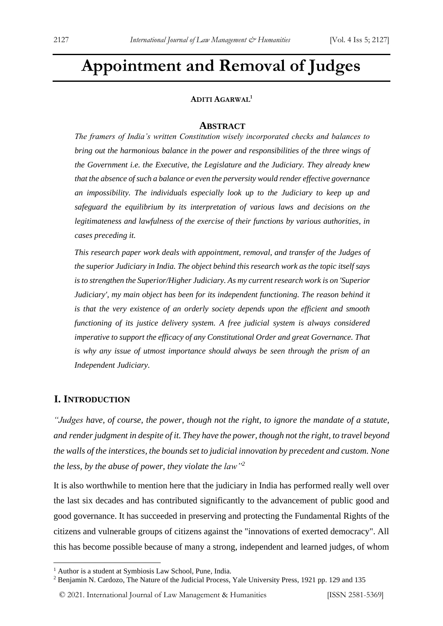# **Appointment and Removal of Judges**

## **ADITI AGARWAL<sup>1</sup>**

#### **ABSTRACT**

*The framers of India's written Constitution wisely incorporated checks and balances to bring out the harmonious balance in the power and responsibilities of the three wings of the Government i.e. the Executive, the Legislature and the Judiciary. They already knew that the absence of such a balance or even the perversity would render effective governance an impossibility. The individuals especially look up to the Judiciary to keep up and safeguard the equilibrium by its interpretation of various laws and decisions on the legitimateness and lawfulness of the exercise of their functions by various authorities, in cases preceding it.*

*This research paper work deals with appointment, removal, and transfer of the Judges of the superior Judiciary in India. The object behind this research work as the topic itself says is to strengthen the Superior/Higher Judiciary. As my current research work is on 'Superior Judiciary', my main object has been for its independent functioning. The reason behind it is that the very existence of an orderly society depends upon the efficient and smooth functioning of its justice delivery system. A free judicial system is always considered imperative to support the efficacy of any Constitutional Order and great Governance. That is why any issue of utmost importance should always be seen through the prism of an Independent Judiciary.*

# **I. INTRODUCTION**

*"Judges have, of course, the power, though not the right, to ignore the mandate of a statute, and renderjudgment in despite of it. They have the power, though not the right, to travel beyond the walls of the interstices, the bounds set to judicial innovation by precedent and custom. None the less, by the abuse of power, they violate the law"<sup>2</sup>*

It is also worthwhile to mention here that the judiciary in India has performed really well over the last six decades and has contributed significantly to the advancement of public good and good governance. It has succeeded in preserving and protecting the Fundamental Rights of the citizens and vulnerable groups of citizens against the "innovations of exerted democracy". All this has become possible because of many a strong, independent and learned judges, of whom

© 2021. International Journal of [Law Management & Humanities](https://www.ijlmh.com/) [ISSN 2581-5369]

<sup>&</sup>lt;sup>1</sup> Author is a student at Symbiosis Law School, Pune, India.

<sup>2</sup> Benjamin N. Cardozo, The Nature of the Judicial Process, Yale University Press, 1921 pp. 129 and 135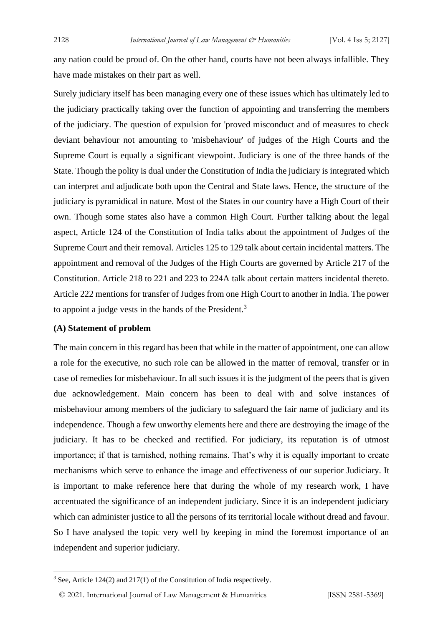any nation could be proud of. On the other hand, courts have not been always infallible. They have made mistakes on their part as well.

Surely judiciary itself has been managing every one of these issues which has ultimately led to the judiciary practically taking over the function of appointing and transferring the members of the judiciary. The question of expulsion for 'proved misconduct and of measures to check deviant behaviour not amounting to 'misbehaviour' of judges of the High Courts and the Supreme Court is equally a significant viewpoint. Judiciary is one of the three hands of the State. Though the polity is dual under the Constitution of India the judiciary is integrated which can interpret and adjudicate both upon the Central and State laws. Hence, the structure of the judiciary is pyramidical in nature. Most of the States in our country have a High Court of their own. Though some states also have a common High Court. Further talking about the legal aspect, Article 124 of the Constitution of India talks about the appointment of Judges of the Supreme Court and their removal. Articles 125 to 129 talk about certain incidental matters. The appointment and removal of the Judges of the High Courts are governed by Article 217 of the Constitution. Article 218 to 221 and 223 to 224A talk about certain matters incidental thereto. Article 222 mentions for transfer of Judges from one High Court to another in India. The power to appoint a judge vests in the hands of the President.<sup>3</sup>

#### **(A) Statement of problem**

The main concern in this regard has been that while in the matter of appointment, one can allow a role for the executive, no such role can be allowed in the matter of removal, transfer or in case of remedies for misbehaviour. In all such issues it is the judgment of the peers that is given due acknowledgement. Main concern has been to deal with and solve instances of misbehaviour among members of the judiciary to safeguard the fair name of judiciary and its independence. Though a few unworthy elements here and there are destroying the image of the judiciary. It has to be checked and rectified. For judiciary, its reputation is of utmost importance; if that is tarnished, nothing remains. That's why it is equally important to create mechanisms which serve to enhance the image and effectiveness of our superior Judiciary. It is important to make reference here that during the whole of my research work, I have accentuated the significance of an independent judiciary. Since it is an independent judiciary which can administer justice to all the persons of its territorial locale without dread and favour. So I have analysed the topic very well by keeping in mind the foremost importance of an independent and superior judiciary.

<sup>3</sup> See, Article 124(2) and 217(1) of the Constitution of India respectively.

<sup>© 2021.</sup> International Journal of [Law Management & Humanities](https://www.ijlmh.com/) [ISSN 2581-5369]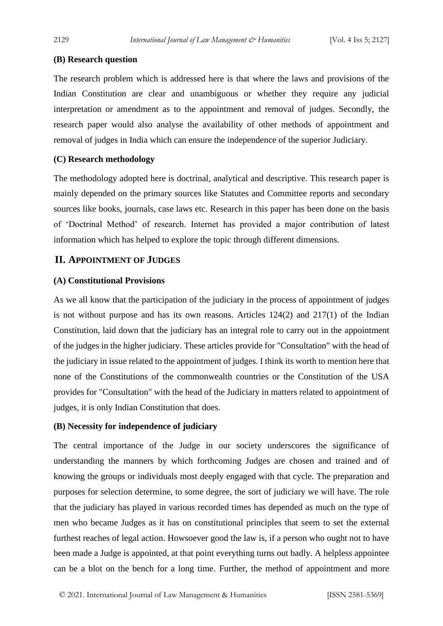# **(B) Research question**

The research problem which is addressed here is that where the laws and provisions of the Indian Constitution are clear and unambiguous or whether they require any judicial interpretation or amendment as to the appointment and removal of judges. Secondly, the research paper would also analyse the availability of other methods of appointment and removal of judges in India which can ensure the independence of the superior Judiciary.

# **(C) Research methodology**

The methodology adopted here is doctrinal, analytical and descriptive. This research paper is mainly depended on the primary sources like Statutes and Committee reports and secondary sources like books, journals, case laws etc. Research in this paper has been done on the basis of 'Doctrinal Method' of research. Internet has provided a major contribution of latest information which has helped to explore the topic through different dimensions.

# **II. APPOINTMENT OF JUDGES**

# **(A) Constitutional Provisions**

As we all know that the participation of the judiciary in the process of appointment of judges is not without purpose and has its own reasons. Articles 124(2) and 217(1) of the Indian Constitution, laid down that the judiciary has an integral role to carry out in the appointment of the judges in the higher judiciary. These articles provide for "Consultation" with the head of the judiciary in issue related to the appointment of judges. I think its worth to mention here that none of the Constitutions of the commonwealth countries or the Constitution of the USA provides for "Consultation" with the head of the Judiciary in matters related to appointment of judges, it is only Indian Constitution that does.

# **(B) Necessity for independence of judiciary**

The central importance of the Judge in our society underscores the significance of understanding the manners by which forthcoming Judges are chosen and trained and of knowing the groups or individuals most deeply engaged with that cycle. The preparation and purposes for selection determine, to some degree, the sort of judiciary we will have. The role that the judiciary has played in various recorded times has depended as much on the type of men who became Judges as it has on constitutional principles that seem to set the external furthest reaches of legal action. Howsoever good the law is, if a person who ought not to have been made a Judge is appointed, at that point everything turns out badly. A helpless appointee can be a blot on the bench for a long time. Further, the method of appointment and more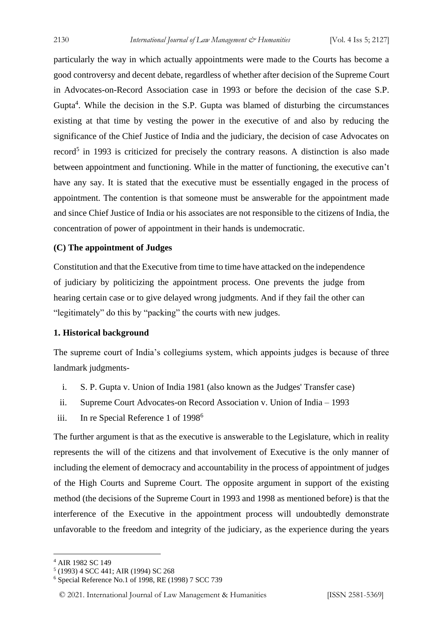particularly the way in which actually appointments were made to the Courts has become a good controversy and decent debate, regardless of whether after decision of the Supreme Court in Advocates-on-Record Association case in 1993 or before the decision of the case S.P. Gupta $4$ . While the decision in the S.P. Gupta was blamed of disturbing the circumstances existing at that time by vesting the power in the executive of and also by reducing the significance of the Chief Justice of India and the judiciary, the decision of case Advocates on record<sup>5</sup> in 1993 is criticized for precisely the contrary reasons. A distinction is also made between appointment and functioning. While in the matter of functioning, the executive can't have any say. It is stated that the executive must be essentially engaged in the process of appointment. The contention is that someone must be answerable for the appointment made and since Chief Justice of India or his associates are not responsible to the citizens of India, the concentration of power of appointment in their hands is undemocratic.

#### **(C) The appointment of Judges**

Constitution and that the Executive from time to time have attacked on the independence of judiciary by politicizing the appointment process. One prevents the judge from hearing certain case or to give delayed wrong judgments. And if they fail the other can "legitimately" do this by "packing" the courts with new judges.

#### **1. Historical background**

The supreme court of India's collegiums system, which appoints judges is because of three landmark judgments-

- i. S. P. Gupta v. Union of India 1981 (also known as the Judges' Transfer case)
- ii. Supreme Court Advocates-on Record Association v. Union of India 1993
- iii. In re Special Reference 1 of 1998<sup>6</sup>

The further argument is that as the executive is answerable to the Legislature, which in reality represents the will of the citizens and that involvement of Executive is the only manner of including the element of democracy and accountability in the process of appointment of judges of the High Courts and Supreme Court. The opposite argument in support of the existing method (the decisions of the Supreme Court in 1993 and 1998 as mentioned before) is that the interference of the Executive in the appointment process will undoubtedly demonstrate unfavorable to the freedom and integrity of the judiciary, as the experience during the years

<sup>4</sup> AIR 1982 SC 149

<sup>5</sup> (1993) 4 SCC 441; AIR (1994) SC 268

<sup>6</sup> Special Reference No.1 of 1998, RE (1998) 7 SCC 739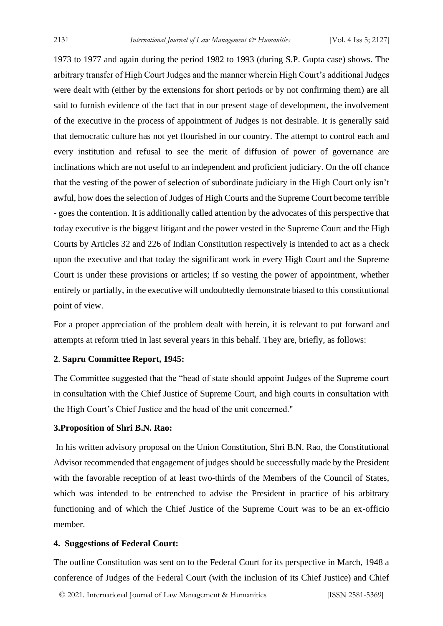1973 to 1977 and again during the period 1982 to 1993 (during S.P. Gupta case) shows. The arbitrary transfer of High Court Judges and the manner wherein High Court's additional Judges were dealt with (either by the extensions for short periods or by not confirming them) are all said to furnish evidence of the fact that in our present stage of development, the involvement of the executive in the process of appointment of Judges is not desirable. It is generally said that democratic culture has not yet flourished in our country. The attempt to control each and every institution and refusal to see the merit of diffusion of power of governance are inclinations which are not useful to an independent and proficient judiciary. On the off chance that the vesting of the power of selection of subordinate judiciary in the High Court only isn't awful, how does the selection of Judges of High Courts and the Supreme Court become terrible - goes the contention. It is additionally called attention by the advocates of this perspective that today executive is the biggest litigant and the power vested in the Supreme Court and the High Courts by Articles 32 and 226 of Indian Constitution respectively is intended to act as a check upon the executive and that today the significant work in every High Court and the Supreme Court is under these provisions or articles; if so vesting the power of appointment, whether entirely or partially, in the executive will undoubtedly demonstrate biased to this constitutional point of view.

For a proper appreciation of the problem dealt with herein, it is relevant to put forward and attempts at reform tried in last several years in this behalf. They are, briefly, as follows:

#### **2**. **Sapru Committee Report, 1945:**

The Committee suggested that the "head of state should appoint Judges of the Supreme court in consultation with the Chief Justice of Supreme Court, and high courts in consultation with the High Court's Chief Justice and the head of the unit concerned."

#### **3.Proposition of Shri B.N. Rao:**

In his written advisory proposal on the Union Constitution, Shri B.N. Rao, the Constitutional Advisor recommended that engagement of judges should be successfully made by the President with the favorable reception of at least two-thirds of the Members of the Council of States, which was intended to be entrenched to advise the President in practice of his arbitrary functioning and of which the Chief Justice of the Supreme Court was to be an ex-officio member.

#### **4. Suggestions of Federal Court:**

The outline Constitution was sent on to the Federal Court for its perspective in March, 1948 a conference of Judges of the Federal Court (with the inclusion of its Chief Justice) and Chief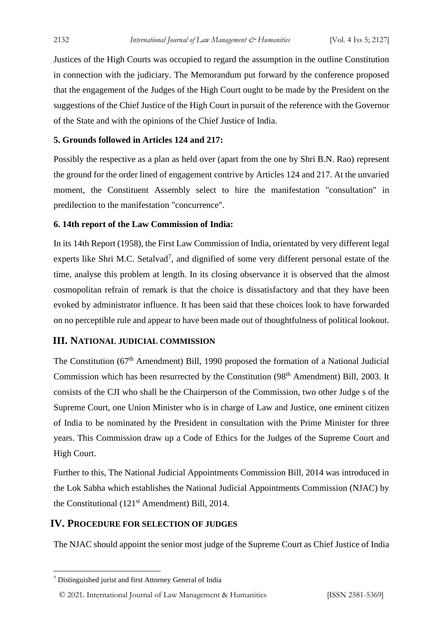Justices of the High Courts was occupied to regard the assumption in the outline Constitution in connection with the judiciary. The Memorandum put forward by the conference proposed that the engagement of the Judges of the High Court ought to be made by the President on the suggestions of the Chief Justice of the High Court in pursuit of the reference with the Governor of the State and with the opinions of the Chief Justice of India.

#### **5. Grounds followed in Articles 124 and 217:**

Possibly the respective as a plan as held over (apart from the one by Shri B.N. Rao) represent the ground for the order lined of engagement contrive by Articles 124 and 217. At the unvaried moment, the Constituent Assembly select to hire the manifestation "consultation" in predilection to the manifestation "concurrence".

# **6. 14th report of the Law Commission of India:**

In its 14th Report (1958), the First Law Commission of India, orientated by very different legal experts like Shri M.C. Setalvad<sup>7</sup>, and dignified of some very different personal estate of the time, analyse this problem at length. In its closing observance it is observed that the almost cosmopolitan refrain of remark is that the choice is dissatisfactory and that they have been evoked by administrator influence. It has been said that these choices look to have forwarded on no perceptible rule and appear to have been made out of thoughtfulness of political lookout.

#### **III. NATIONAL JUDICIAL COMMISSION**

The Constitution (67<sup>th</sup> Amendment) Bill, 1990 proposed the formation of a National Judicial Commission which has been resurrected by the Constitution (98<sup>th</sup> Amendment) Bill, 2003. It consists of the CJI who shall be the Chairperson of the Commission, two other Judge s of the Supreme Court, one Union Minister who is in charge of Law and Justice, one eminent citizen of India to be nominated by the President in consultation with the Prime Minister for three years. This Commission draw up a Code of Ethics for the Judges of the Supreme Court and High Court.

Further to this, The National Judicial Appointments Commission Bill, 2014 was introduced in the Lok Sabha which establishes the National Judicial Appointments Commission (NJAC) by the Constitutional (121<sup>st</sup> Amendment) Bill, 2014.

## **IV. PROCEDURE FOR SELECTION OF JUDGES**

The NJAC should appoint the senior most judge of the Supreme Court as Chief Justice of India

<sup>7</sup> Distinguished jurist and first Attorney General of India

<sup>© 2021.</sup> International Journal of [Law Management & Humanities](https://www.ijlmh.com/) [ISSN 2581-5369]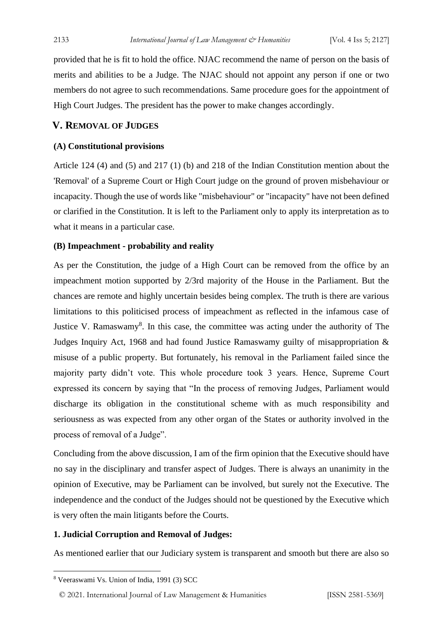provided that he is fit to hold the office. NJAC recommend the name of person on the basis of merits and abilities to be a Judge. The NJAC should not appoint any person if one or two members do not agree to such recommendations. Same procedure goes for the appointment of High Court Judges. The president has the power to make changes accordingly.

# **V. REMOVAL OF JUDGES**

#### **(A) Constitutional provisions**

Article 124 (4) and (5) and 217 (1) (b) and 218 of the Indian Constitution mention about the 'Removal' of a Supreme Court or High Court judge on the ground of proven misbehaviour or incapacity. Though the use of words like "misbehaviour" or "incapacity" have not been defined or clarified in the Constitution. It is left to the Parliament only to apply its interpretation as to what it means in a particular case.

## **(B) Impeachment - probability and reality**

As per the Constitution, the judge of a High Court can be removed from the office by an impeachment motion supported by 2/3rd majority of the House in the Parliament. But the chances are remote and highly uncertain besides being complex. The truth is there are various limitations to this politicised process of impeachment as reflected in the infamous case of Justice V. Ramaswamy<sup>8</sup>. In this case, the committee was acting under the authority of The Judges Inquiry Act, 1968 and had found Justice Ramaswamy guilty of misappropriation & misuse of a public property. But fortunately, his removal in the Parliament failed since the majority party didn't vote. This whole procedure took 3 years. Hence, Supreme Court expressed its concern by saying that "In the process of removing Judges, Parliament would discharge its obligation in the constitutional scheme with as much responsibility and seriousness as was expected from any other organ of the States or authority involved in the process of removal of a Judge".

Concluding from the above discussion, I am of the firm opinion that the Executive should have no say in the disciplinary and transfer aspect of Judges. There is always an unanimity in the opinion of Executive, may be Parliament can be involved, but surely not the Executive. The independence and the conduct of the Judges should not be questioned by the Executive which is very often the main litigants before the Courts.

#### **1. Judicial Corruption and Removal of Judges:**

As mentioned earlier that our Judiciary system is transparent and smooth but there are also so

<sup>8</sup> Veeraswami Vs. Union of India, 1991 (3) SCC

<sup>© 2021.</sup> International Journal of [Law Management & Humanities](https://www.ijlmh.com/) [ISSN 2581-5369]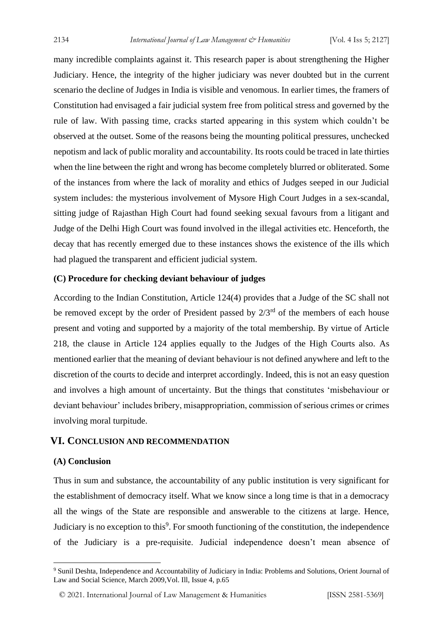many incredible complaints against it. This research paper is about strengthening the Higher Judiciary. Hence, the integrity of the higher judiciary was never doubted but in the current scenario the decline of Judges in India is visible and venomous. In earlier times, the framers of Constitution had envisaged a fair judicial system free from political stress and governed by the rule of law. With passing time, cracks started appearing in this system which couldn't be observed at the outset. Some of the reasons being the mounting political pressures, unchecked nepotism and lack of public morality and accountability. Its roots could be traced in late thirties when the line between the right and wrong has become completely blurred or obliterated. Some of the instances from where the lack of morality and ethics of Judges seeped in our Judicial system includes: the mysterious involvement of Mysore High Court Judges in a sex-scandal, sitting judge of Rajasthan High Court had found seeking sexual favours from a litigant and Judge of the Delhi High Court was found involved in the illegal activities etc. Henceforth, the decay that has recently emerged due to these instances shows the existence of the ills which had plagued the transparent and efficient judicial system.

### **(C) Procedure for checking deviant behaviour of judges**

According to the Indian Constitution, Article 124(4) provides that a Judge of the SC shall not be removed except by the order of President passed by  $2/3^{rd}$  of the members of each house present and voting and supported by a majority of the total membership. By virtue of Article 218, the clause in Article 124 applies equally to the Judges of the High Courts also. As mentioned earlier that the meaning of deviant behaviour is not defined anywhere and left to the discretion of the courts to decide and interpret accordingly. Indeed, this is not an easy question and involves a high amount of uncertainty. But the things that constitutes 'misbehaviour or deviant behaviour' includes bribery, misappropriation, commission of serious crimes or crimes involving moral turpitude.

# **VI. CONCLUSION AND RECOMMENDATION**

#### **(A) Conclusion**

Thus in sum and substance, the accountability of any public institution is very significant for the establishment of democracy itself. What we know since a long time is that in a democracy all the wings of the State are responsible and answerable to the citizens at large. Hence, Judiciary is no exception to this<sup>9</sup>. For smooth functioning of the constitution, the independence of the Judiciary is a pre-requisite. Judicial independence doesn't mean absence of

<sup>&</sup>lt;sup>9</sup> Sunil Deshta, Independence and Accountability of Judiciary in India: Problems and Solutions, Orient Journal of Law and Social Science, March 2009,Vol. Ill, Issue 4, p.65

<sup>© 2021.</sup> International Journal of [Law Management & Humanities](https://www.ijlmh.com/) [ISSN 2581-5369]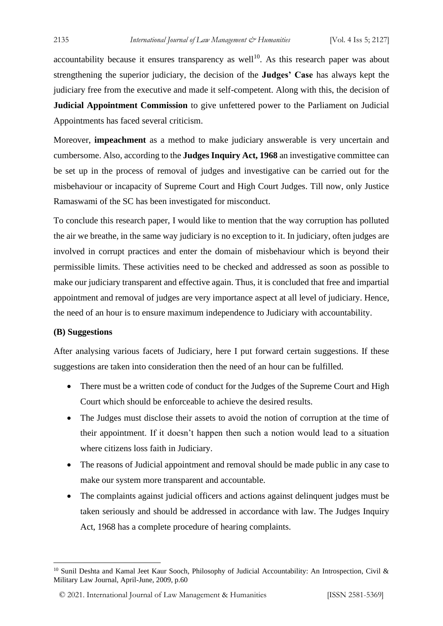accountability because it ensures transparency as well<sup>10</sup>. As this research paper was about strengthening the superior judiciary, the decision of the **Judges' Case** has always kept the judiciary free from the executive and made it self-competent. Along with this, the decision of **Judicial Appointment Commission** to give unfettered power to the Parliament on Judicial Appointments has faced several criticism.

Moreover, **impeachment** as a method to make judiciary answerable is very uncertain and cumbersome. Also, according to the **Judges Inquiry Act, 1968** an investigative committee can be set up in the process of removal of judges and investigative can be carried out for the misbehaviour or incapacity of Supreme Court and High Court Judges. Till now, only Justice Ramaswami of the SC has been investigated for misconduct.

To conclude this research paper, I would like to mention that the way corruption has polluted the air we breathe, in the same way judiciary is no exception to it. In judiciary, often judges are involved in corrupt practices and enter the domain of misbehaviour which is beyond their permissible limits. These activities need to be checked and addressed as soon as possible to make our judiciary transparent and effective again. Thus, it is concluded that free and impartial appointment and removal of judges are very importance aspect at all level of judiciary. Hence, the need of an hour is to ensure maximum independence to Judiciary with accountability.

#### **(B) Suggestions**

After analysing various facets of Judiciary, here I put forward certain suggestions. If these suggestions are taken into consideration then the need of an hour can be fulfilled.

- There must be a written code of conduct for the Judges of the Supreme Court and High Court which should be enforceable to achieve the desired results.
- The Judges must disclose their assets to avoid the notion of corruption at the time of their appointment. If it doesn't happen then such a notion would lead to a situation where citizens loss faith in Judiciary.
- The reasons of Judicial appointment and removal should be made public in any case to make our system more transparent and accountable.
- The complaints against judicial officers and actions against delinquent judges must be taken seriously and should be addressed in accordance with law. The Judges Inquiry Act, 1968 has a complete procedure of hearing complaints.

<sup>&</sup>lt;sup>10</sup> Sunil Deshta and Kamal Jeet Kaur Sooch, Philosophy of Judicial Accountability: An Introspection, Civil & Military Law Journal, April-June, 2009, p.60